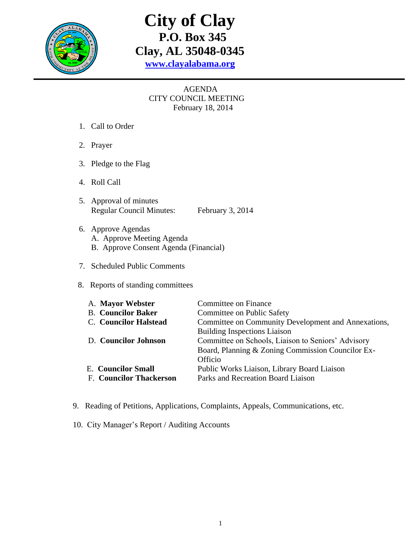

## **City of Clay P.O. Box 345 Clay, AL 35048-0345 [www.clayalabama.org](http://www.clayalabama.org/)**

## AGENDA CITY COUNCIL MEETING February 18, 2014

- 1. Call to Order
- 2. Prayer
- 3. Pledge to the Flag
- 4. Roll Call
- 5. Approval of minutes Regular Council Minutes: February 3, 2014
- 6. Approve Agendas A. Approve Meeting Agenda B. Approve Consent Agenda (Financial)
- 7. Scheduled Public Comments
- 8. Reports of standing committees

| A. Mayor Webster               | Committee on Finance                                |
|--------------------------------|-----------------------------------------------------|
| <b>B.</b> Councilor Baker      | Committee on Public Safety                          |
| <b>C.</b> Councilor Halstead   | Committee on Community Development and Annexations, |
|                                | <b>Building Inspections Liaison</b>                 |
| D. Councilor Johnson           | Committee on Schools, Liaison to Seniors' Advisory  |
|                                | Board, Planning & Zoning Commission Councilor Ex-   |
|                                | Officio                                             |
| <b>E.</b> Councilor Small      | Public Works Liaison, Library Board Liaison         |
| <b>F. Councilor Thackerson</b> | Parks and Recreation Board Liaison                  |
|                                |                                                     |

- 9. Reading of Petitions, Applications, Complaints, Appeals, Communications, etc.
- 10. City Manager's Report / Auditing Accounts